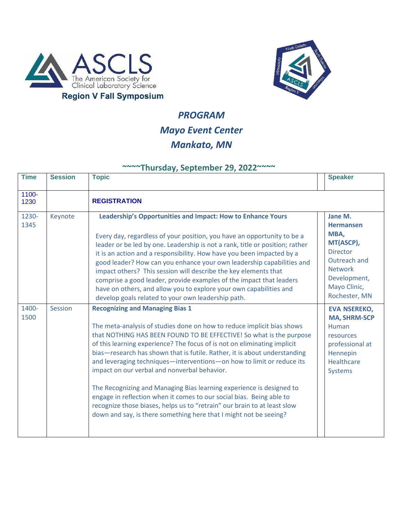



## *PROGRAM Mayo Event Center Mankato, MN*

## **~~~~Thursday, September 29, 2022~~~~**

| <b>Time</b>   | <b>Session</b> | <b>Topic</b>                                                                                                                                                                                                                                                                                                                                                                                                                                                                                                                                                                                                                                                                                                                                                               | <b>Speaker</b>                                                                                                                                         |
|---------------|----------------|----------------------------------------------------------------------------------------------------------------------------------------------------------------------------------------------------------------------------------------------------------------------------------------------------------------------------------------------------------------------------------------------------------------------------------------------------------------------------------------------------------------------------------------------------------------------------------------------------------------------------------------------------------------------------------------------------------------------------------------------------------------------------|--------------------------------------------------------------------------------------------------------------------------------------------------------|
| 1100-<br>1230 |                | <b>REGISTRATION</b>                                                                                                                                                                                                                                                                                                                                                                                                                                                                                                                                                                                                                                                                                                                                                        |                                                                                                                                                        |
| 1230-<br>1345 | Keynote        | Leadership's Opportunities and Impact: How to Enhance Yours<br>Every day, regardless of your position, you have an opportunity to be a<br>leader or be led by one. Leadership is not a rank, title or position; rather<br>it is an action and a responsibility. How have you been impacted by a<br>good leader? How can you enhance your own leadership capabilities and<br>impact others? This session will describe the key elements that<br>comprise a good leader, provide examples of the impact that leaders<br>have on others, and allow you to explore your own capabilities and<br>develop goals related to your own leadership path.                                                                                                                             | Jane M.<br><b>Hermansen</b><br>MBA,<br>MT(ASCP),<br><b>Director</b><br>Outreach and<br><b>Network</b><br>Development,<br>Mayo Clinic,<br>Rochester, MN |
| 1400-<br>1500 | <b>Session</b> | <b>Recognizing and Managing Bias 1</b><br>The meta-analysis of studies done on how to reduce implicit bias shows<br>that NOTHING HAS BEEN FOUND TO BE EFFECTIVE! So what is the purpose<br>of this learning experience? The focus of is not on eliminating implicit<br>bias-research has shown that is futile. Rather, it is about understanding<br>and leveraging techniques-interventions-on how to limit or reduce its<br>impact on our verbal and nonverbal behavior.<br>The Recognizing and Managing Bias learning experience is designed to<br>engage in reflection when it comes to our social bias. Being able to<br>recognize those biases, helps us to "retrain" our brain to at least slow<br>down and say, is there something here that I might not be seeing? | <b>EVA NSEREKO,</b><br><b>MA, SHRM-SCP</b><br>Human<br>resources<br>professional at<br>Hennepin<br><b>Healthcare</b><br><b>Systems</b>                 |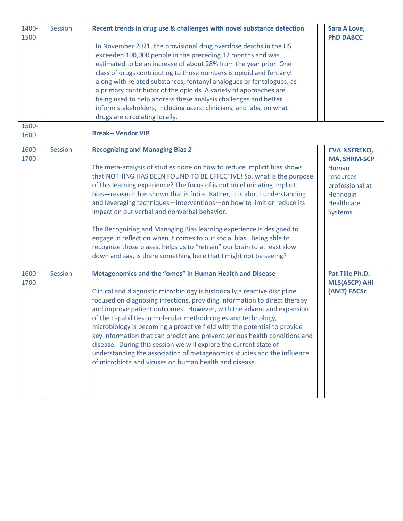| 1400-<br>1500 | Session | Recent trends in drug use & challenges with novel substance detection<br>In November 2021, the provisional drug overdose deaths in the US<br>exceeded 100,000 people in the preceding 12 months and was<br>estimated to be an increase of about 28% from the year prior. One<br>class of drugs contributing to those numbers is opioid and fentanyl<br>along with related substances, fentanyl analogues or fentalogues, as<br>a primary contributor of the opioids. A variety of approaches are<br>being used to help address these analysis challenges and better<br>inform stakeholders, including users, clinicians, and labs, on what<br>drugs are circulating locally.                                                                                                | Sara A Love,<br><b>PhD DABCC</b>                                                                                                |
|---------------|---------|-----------------------------------------------------------------------------------------------------------------------------------------------------------------------------------------------------------------------------------------------------------------------------------------------------------------------------------------------------------------------------------------------------------------------------------------------------------------------------------------------------------------------------------------------------------------------------------------------------------------------------------------------------------------------------------------------------------------------------------------------------------------------------|---------------------------------------------------------------------------------------------------------------------------------|
| 1500-<br>1600 |         | <b>Break-- Vendor VIP</b>                                                                                                                                                                                                                                                                                                                                                                                                                                                                                                                                                                                                                                                                                                                                                   |                                                                                                                                 |
| 1600-<br>1700 | Session | <b>Recognizing and Managing Bias 2</b><br>The meta-analysis of studies done on how to reduce implicit bias shows<br>that NOTHING HAS BEEN FOUND TO BE EFFECTIVE! So, what is the purpose<br>of this learning experience? The focus of is not on eliminating implicit<br>bias-research has shown that is futile. Rather, it is about understanding<br>and leveraging techniques-interventions-on how to limit or reduce its<br>impact on our verbal and nonverbal behavior.<br>The Recognizing and Managing Bias learning experience is designed to<br>engage in reflection when it comes to our social bias. Being able to<br>recognize those biases, helps us to "retrain" our brain to at least slow<br>down and say, is there something here that I might not be seeing? | <b>EVA NSEREKO,</b><br><b>MA, SHRM-SCP</b><br>Human<br>resources<br>professional at<br>Hennepin<br><b>Healthcare</b><br>Systems |
| 1600-<br>1700 | Session | Metagenomics and the "omes" in Human Health and Disease<br>Clinical and diagnostic microbiology is historically a reactive discipline<br>focused on diagnosing infections, providing information to direct therapy<br>and improve patient outcomes. However, with the advent and expansion<br>of the capabilities in molecular methodologies and technology,<br>microbiology is becoming a proactive field with the potential to provide<br>key information that can predict and prevent serious health conditions and<br>disease. During this session we will explore the current state of<br>understanding the association of metagenomics studies and the influence<br>of microbiota and viruses on human health and disease.                                            | Pat Tille Ph.D.<br><b>MLS(ASCP) AHI</b><br>(AMT) FACSc                                                                          |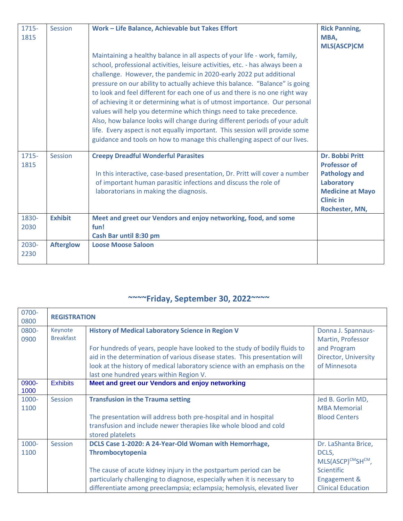| 1715-<br>1815 | Session          | Work - Life Balance, Achievable but Takes Effort                                                                                                                                                                                                                                                                                                                                                                                                                                                                                                                                                                                                                                                                                                                                               | <b>Rick Panning,</b><br>MBA,<br><b>MLS(ASCP)CM</b>                                                                                            |
|---------------|------------------|------------------------------------------------------------------------------------------------------------------------------------------------------------------------------------------------------------------------------------------------------------------------------------------------------------------------------------------------------------------------------------------------------------------------------------------------------------------------------------------------------------------------------------------------------------------------------------------------------------------------------------------------------------------------------------------------------------------------------------------------------------------------------------------------|-----------------------------------------------------------------------------------------------------------------------------------------------|
|               |                  | Maintaining a healthy balance in all aspects of your life - work, family,<br>school, professional activities, leisure activities, etc. - has always been a<br>challenge. However, the pandemic in 2020-early 2022 put additional<br>pressure on our ability to actually achieve this balance. "Balance" is going<br>to look and feel different for each one of us and there is no one right way<br>of achieving it or determining what is of utmost importance. Our personal<br>values will help you determine which things need to take precedence.<br>Also, how balance looks will change during different periods of your adult<br>life. Every aspect is not equally important. This session will provide some<br>guidance and tools on how to manage this challenging aspect of our lives. |                                                                                                                                               |
| 1715-<br>1815 | Session          | <b>Creepy Dreadful Wonderful Parasites</b><br>In this interactive, case-based presentation, Dr. Pritt will cover a number<br>of important human parasitic infections and discuss the role of<br>laboratorians in making the diagnosis.                                                                                                                                                                                                                                                                                                                                                                                                                                                                                                                                                         | Dr. Bobbi Pritt<br><b>Professor of</b><br><b>Pathology and</b><br>Laboratory<br><b>Medicine at Mayo</b><br><b>Clinic in</b><br>Rochester, MN, |
| 1830-<br>2030 | <b>Exhibit</b>   | Meet and greet our Vendors and enjoy networking, food, and some<br>fun!<br>Cash Bar until 8:30 pm                                                                                                                                                                                                                                                                                                                                                                                                                                                                                                                                                                                                                                                                                              |                                                                                                                                               |
| 2030-<br>2230 | <b>Afterglow</b> | <b>Loose Moose Saloon</b>                                                                                                                                                                                                                                                                                                                                                                                                                                                                                                                                                                                                                                                                                                                                                                      |                                                                                                                                               |

## **~~~~Friday, September 30, 2022~~~~**

| 0700-<br>0800 | <b>REGISTRATION</b> |                                                                            |                           |
|---------------|---------------------|----------------------------------------------------------------------------|---------------------------|
| 0800-         | Keynote             | <b>History of Medical Laboratory Science in Region V</b>                   | Donna J. Spannaus-        |
| 0900          | <b>Breakfast</b>    |                                                                            | Martin, Professor         |
|               |                     | For hundreds of years, people have looked to the study of bodily fluids to | and Program               |
|               |                     | aid in the determination of various disease states. This presentation will | Director, University      |
|               |                     | look at the history of medical laboratory science with an emphasis on the  | of Minnesota              |
|               |                     | last one hundred years within Region V.                                    |                           |
| 0900-<br>1000 | <b>Exhibits</b>     | Meet and greet our Vendors and enjoy networking                            |                           |
| 1000-         | <b>Session</b>      | <b>Transfusion in the Trauma setting</b>                                   | Jed B. Gorlin MD,         |
| 1100          |                     |                                                                            | <b>MBA Memorial</b>       |
|               |                     | The presentation will address both pre-hospital and in hospital            | <b>Blood Centers</b>      |
|               |                     | transfusion and include newer therapies like whole blood and cold          |                           |
|               |                     | stored platelets                                                           |                           |
| 1000-         | <b>Session</b>      | DCLS Case 1-2020: A 24-Year-Old Woman with Hemorrhage,                     | Dr. LaShanta Brice,       |
| 1100          |                     | Thrombocytopenia                                                           | DCLS,                     |
|               |                     |                                                                            | MLS(ASCP)CMSHCM,          |
|               |                     | The cause of acute kidney injury in the postpartum period can be           | <b>Scientific</b>         |
|               |                     | particularly challenging to diagnose, especially when it is necessary to   | Engagement &              |
|               |                     | differentiate among preeclampsia; eclampsia; hemolysis, elevated liver     | <b>Clinical Education</b> |